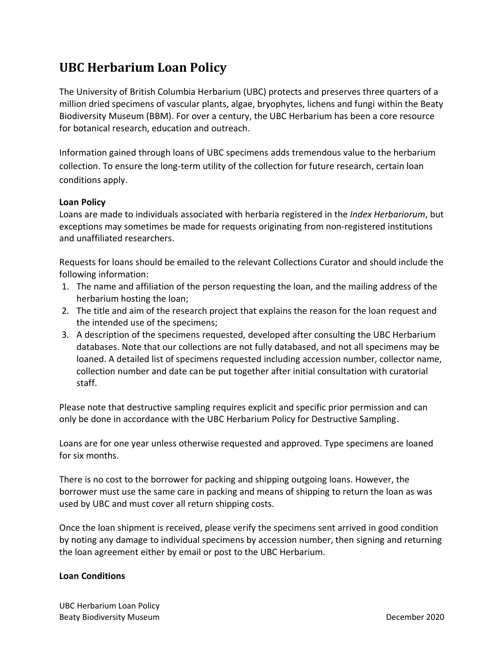# **UBC Herbarium Loan Policy**

The University of British Columbia Herbarium (UBC) protects and preserves three quarters of a million dried specimens of vascular plants, algae, bryophytes, lichens and fungi within the Beaty Biodiversity Museum (BBM). For over a century, the UBC Herbarium has been a core resource for botanical research, education and outreach.

Information gained through loans of UBC specimens adds tremendous value to the herbarium collection. To ensure the long-term utility of the collection for future research, certain loan conditions apply.

### **Loan Policy**

Loans are made to individuals associated with herbaria registered in the *Index Herbariorum*, but exceptions may sometimes be made for requests originating from non-registered institutions and unaffiliated researchers.

Requests for loans should be emailed to the relevant Collections Curator and should include the following information:

- 1. The name and affiliation of the person requesting the loan, and the mailing address of the herbarium hosting the loan;
- 2. The title and aim of the research project that explains the reason for the loan request and the intended use of the specimens;
- 3. A description of the specimens requested, developed after consulting the UBC Herbarium databases. Note that our collections are not fully databased, and not all specimens may be loaned. A detailed list of specimens requested including accession number, collector name, collection number and date can be put together after initial consultation with curatorial staff.

Please note that destructive sampling requires explicit and specific prior permission and can only be done in accordance with the UBC Herbarium Policy for Destructive Sampling.

Loans are for one year unless otherwise requested and approved. Type specimens are loaned for six months.

There is no cost to the borrower for packing and shipping outgoing loans. However, the borrower must use the same care in packing and means of shipping to return the loan as was used by UBC and must cover all return shipping costs.

Once the loan shipment is received, please verify the specimens sent arrived in good condition by noting any damage to individual specimens by accession number, then signing and returning the loan agreement either by email or post to the UBC Herbarium.

#### **Loan Conditions**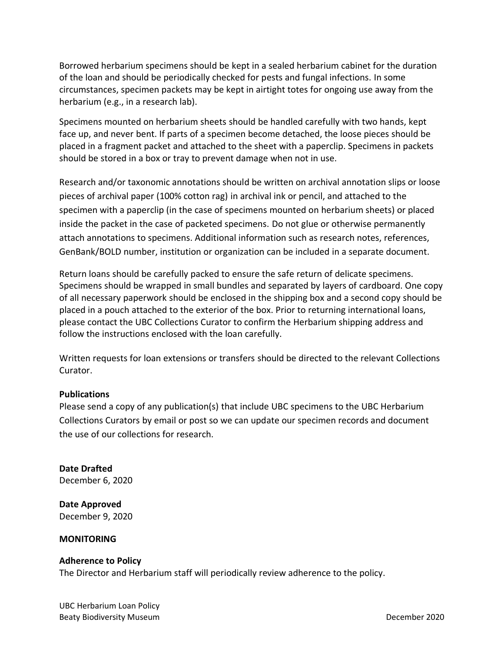Borrowed herbarium specimens should be kept in a sealed herbarium cabinet for the duration of the loan and should be periodically checked for pests and fungal infections. In some circumstances, specimen packets may be kept in airtight totes for ongoing use away from the herbarium (e.g., in a research lab).

Specimens mounted on herbarium sheets should be handled carefully with two hands, kept face up, and never bent. If parts of a specimen become detached, the loose pieces should be placed in a fragment packet and attached to the sheet with a paperclip. Specimens in packets should be stored in a box or tray to prevent damage when not in use.

Research and/or taxonomic annotations should be written on archival annotation slips or loose pieces of archival paper (100% cotton rag) in archival ink or pencil, and attached to the specimen with a paperclip (in the case of specimens mounted on herbarium sheets) or placed inside the packet in the case of packeted specimens. Do not glue or otherwise permanently attach annotations to specimens. Additional information such as research notes, references, GenBank/BOLD number, institution or organization can be included in a separate document.

Return loans should be carefully packed to ensure the safe return of delicate specimens. Specimens should be wrapped in small bundles and separated by layers of cardboard. One copy of all necessary paperwork should be enclosed in the shipping box and a second copy should be placed in a pouch attached to the exterior of the box. Prior to returning international loans, please contact the UBC Collections Curator to confirm the Herbarium shipping address and follow the instructions enclosed with the loan carefully.

Written requests for loan extensions or transfers should be directed to the relevant Collections Curator.

#### **Publications**

Please send a copy of any publication(s) that include UBC specimens to the UBC Herbarium Collections Curators by email or post so we can update our specimen records and document the use of our collections for research.

**Date Drafted** December 6, 2020

**Date Approved** December 9, 2020

#### **MONITORING**

#### **Adherence to Policy**

The Director and Herbarium staff will periodically review adherence to the policy.